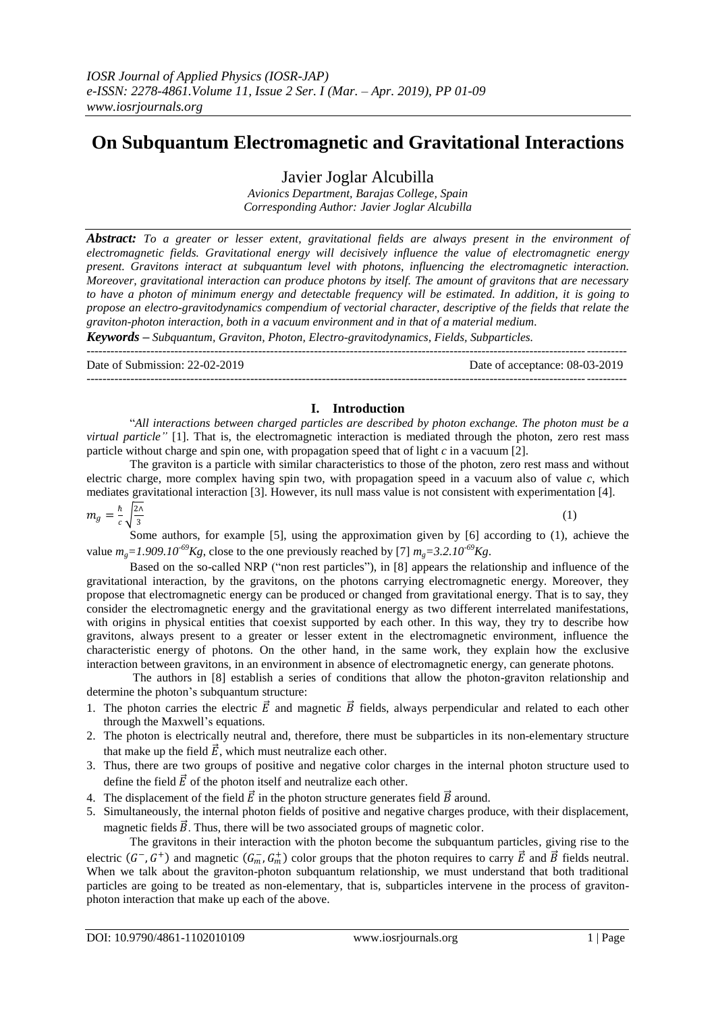# **On Subquantum Electromagnetic and Gravitational Interactions**

Javier Joglar Alcubilla

*Avionics Department, Barajas College, Spain Corresponding Author: Javier Joglar Alcubilla*

*Abstract: To a greater or lesser extent, gravitational fields are always present in the environment of electromagnetic fields. Gravitational energy will decisively influence the value of electromagnetic energy present. Gravitons interact at subquantum level with photons, influencing the electromagnetic interaction. Moreover, gravitational interaction can produce photons by itself. The amount of gravitons that are necessary to have a photon of minimum energy and detectable frequency will be estimated. In addition, it is going to propose an electro-gravitodynamics compendium of vectorial character, descriptive of the fields that relate the graviton-photon interaction, both in a vacuum environment and in that of a material medium.*

*Keywords – Subquantum, Graviton, Photon, Electro-gravitodynamics, Fields, Subparticles.*

| Date of Submission: $22-02-2019$ | Date of acceptance: 08-03-2019 |
|----------------------------------|--------------------------------|
|                                  |                                |

## **I. Introduction**

"*All interactions between charged particles are described by photon exchange. The photon must be a virtual particle"* [1]. That is, the electromagnetic interaction is mediated through the photon, zero rest mass particle without charge and spin one, with propagation speed that of light *c* in a vacuum [2].

The graviton is a particle with similar characteristics to those of the photon, zero rest mass and without electric charge, more complex having spin two, with propagation speed in a vacuum also of value *c*, which mediates gravitational interaction [3]. However, its null mass value is not consistent with experimentation [4].

$$
m_g = \frac{\hbar}{c} \sqrt{\frac{2\lambda}{3}}
$$
 (1)

Some authors, for example [5], using the approximation given by [6] according to (1), achieve the value  $m_g = 1.909.10^{-69}Kg$ , close to the one previously reached by [7]  $m_g = 3.2.10^{-69}Kg$ .

Based on the so-called NRP ("non rest particles"), in [8] appears the relationship and influence of the gravitational interaction, by the gravitons, on the photons carrying electromagnetic energy. Moreover, they propose that electromagnetic energy can be produced or changed from gravitational energy. That is to say, they consider the electromagnetic energy and the gravitational energy as two different interrelated manifestations, with origins in physical entities that coexist supported by each other. In this way, they try to describe how gravitons, always present to a greater or lesser extent in the electromagnetic environment, influence the characteristic energy of photons. On the other hand, in the same work, they explain how the exclusive interaction between gravitons, in an environment in absence of electromagnetic energy, can generate photons.

The authors in [8] establish a series of conditions that allow the photon-graviton relationship and determine the photon's subquantum structure:

- 1. The photon carries the electric  $\vec{E}$  and magnetic  $\vec{B}$  fields, always perpendicular and related to each other through the Maxwell's equations.
- 2. The photon is electrically neutral and, therefore, there must be subparticles in its non-elementary structure that make up the field  $\vec{E}$ , which must neutralize each other.
- 3. Thus, there are two groups of positive and negative color charges in the internal photon structure used to define the field  $\vec{E}$  of the photon itself and neutralize each other.
- 4. The displacement of the field  $\vec{E}$  in the photon structure generates field  $\vec{B}$  around.
- 5. Simultaneously, the internal photon fields of positive and negative charges produce, with their displacement, magnetic fields  $\vec{B}$ . Thus, there will be two associated groups of magnetic color.

The gravitons in their interaction with the photon become the subquantum particles, giving rise to the electric  $(G^-, G^+)$  and magnetic  $(G_m^-, G_m^+)$  color groups that the photon requires to carry  $\vec{E}$  and  $\vec{B}$  fields neutral. When we talk about the graviton-photon subquantum relationship, we must understand that both traditional particles are going to be treated as non-elementary, that is, subparticles intervene in the process of gravitonphoton interaction that make up each of the above.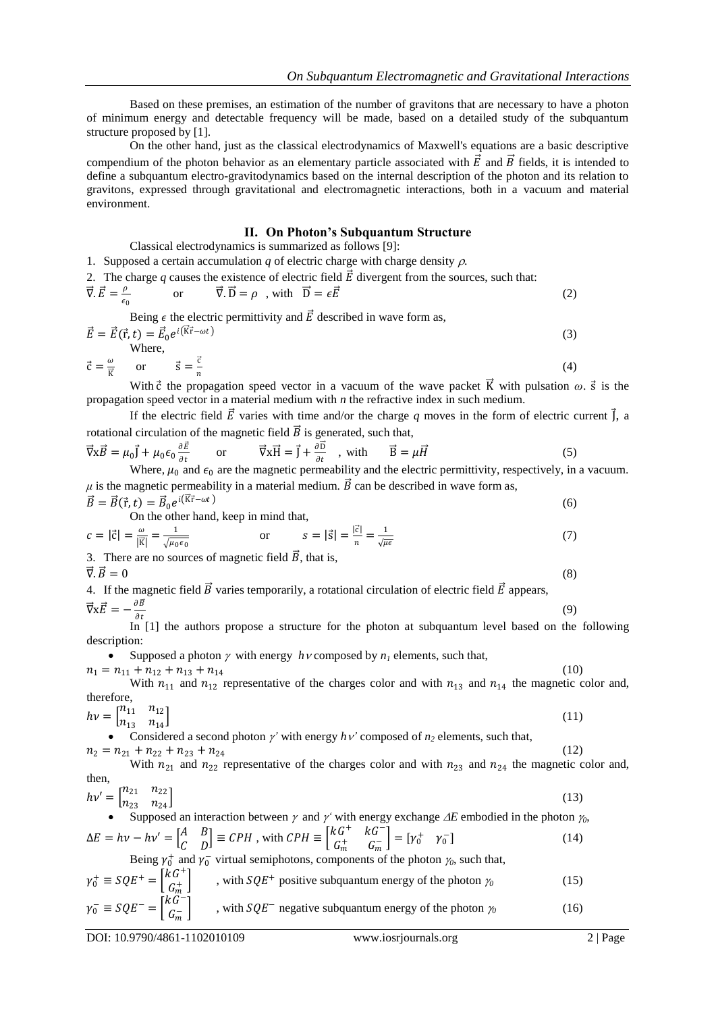Based on these premises, an estimation of the number of gravitons that are necessary to have a photon of minimum energy and detectable frequency will be made, based on a detailed study of the subquantum structure proposed by [1].

On the other hand, just as the classical electrodynamics of Maxwell's equations are a basic descriptive compendium of the photon behavior as an elementary particle associated with  $\vec{E}$  and  $\vec{B}$  fields, it is intended to define a subquantum electro-gravitodynamics based on the internal description of the photon and its relation to gravitons, expressed through gravitational and electromagnetic interactions, both in a vacuum and material environment.

#### **II. On Photon's Subquantum Structure**

Classical electrodynamics is summarized as follows [9]:

1. Supposed a certain accumulation  $q$  of electric charge with charge density  $\rho$ .

2. The charge *q* causes the existence of electric field  $\vec{E}$  divergent from the sources, such that:  $\vec{\nabla} \cdot \vec{E} = \frac{\rho}{\epsilon}$  $\epsilon_0$ or  $\vec{\nabla} \cdot \vec{D} = \rho$ , with  $\vec{D} = \epsilon \vec{E}$  (2)

Being  $\epsilon$  the electric permittivity and  $\vec{E}$  described in wave form as,

$$
\vec{E} = \vec{E}(\vec{r}, t) = \vec{E}_0 e^{i(\vec{K}\vec{r} - \omega t)}
$$
\nWhere,  
\n
$$
\vec{c} = \frac{\omega}{\vec{k}} \quad \text{or} \quad \vec{s} = \frac{\vec{c}}{n}
$$
\n(4)

K With  $\vec{c}$  the propagation speed vector in a vacuum of the wave packet  $\vec{K}$  with pulsation  $\omega$ .  $\vec{s}$  is the propagation speed vector in a material medium with *n* the refractive index in such medium.

If the electric field  $\vec{E}$  varies with time and/or the charge *q* moves in the form of electric current  $\vec{l}$ , a rotational circulation of the magnetic field  $\vec{B}$  is generated, such that,

$$
\vec{\nabla} \mathbf{x} \vec{B} = \mu_0 \vec{J} + \mu_0 \epsilon_0 \frac{\partial \vec{E}}{\partial t} \qquad \text{or} \qquad \vec{\nabla} \mathbf{x} \vec{H} = \vec{J} + \frac{\partial \vec{D}}{\partial t} \quad \text{with} \qquad \vec{B} = \mu \vec{H} \tag{5}
$$

Where,  $\mu_0$  and  $\epsilon_0$  are the magnetic permeability and the electric permittivity, respectively, in a vacuum.  $\mu$  is the magnetic permeability in a material medium.  $\vec{B}$  can be described in wave form as,  $\vec{B} = \vec{B}(\vec{r}, t) = \vec{B}_0 e^{i(\vec{K}\vec{r} - \omega t)}$ (6)

On the other hand, keep in mind that,

$$
c = |\vec{c}| = \frac{\omega}{|\vec{k}|} = \frac{1}{\sqrt{\mu_0 \epsilon_0}} \qquad \text{or} \qquad s = |\vec{s}| = \frac{|\vec{c}|}{n} = \frac{1}{\sqrt{\mu \epsilon}} \tag{7}
$$

3. There are no sources of magnetic field  $\vec{B}$ , that is,

 $\vec{\nabla} \cdot \vec{B} = 0$  (8)

4. If the magnetic field  $\vec{B}$  varies temporarily, a rotational circulation of electric field  $\vec{E}$  appears,  $\vec{\nabla} \times \vec{E} = -\frac{\partial \vec{B}}{\partial t}$  $\overline{\partial t}$ (9)

In [1] the authors propose a structure for the photon at subquantum level based on the following description:

• Supposed a photon  $\gamma$  with energy  $h\nu$  composed by  $n_l$  elements, such that,

 $n_1 = n_{11} + n_{12} + n_{13} + n_{14}$  (10)

With  $n_{11}$  and  $n_{12}$  representative of the charges color and with  $n_{13}$  and  $n_{14}$  the magnetic color and, therefore,

 $(11)$ 

$$
h\nu = \begin{bmatrix} n_{11} & n_{12} \\ n_{13} & n_{14} \end{bmatrix}
$$

• Considered a second photon  $\gamma'$  with energy  $h\nu'$  composed of  $n_2$  elements, such that,  $n_2 = n_{21} + n_{22} + n_{23} + n_{24}$  (12)

With  $n_{21}$  and  $n_{22}$  representative of the charges color and with  $n_{23}$  and  $n_{24}$  the magnetic color and, then,

$$
hv' = \begin{bmatrix} n_{21} & n_{22} \\ n_{23} & n_{24} \end{bmatrix}
$$
 (13)

Supposed an interaction between  $\gamma$  and  $\gamma'$  with energy exchange  $\Delta E$  embodied in the photon  $\gamma_0$ ,  $F A$  $kG^+$   $kG^-$ 

$$
\Delta E = hv - hv' = \begin{bmatrix} A & B \\ C & D \end{bmatrix} \equiv CPH \text{, with } CPH \equiv \begin{bmatrix} \kappa \sigma & \kappa \sigma \\ G_m^+ & G_m^- \end{bmatrix} = \begin{bmatrix} \gamma_0^+ & \gamma_0^- \end{bmatrix}
$$
(14)

Being  $\gamma_0^+$  and  $\gamma_0^-$  virtual semiphotons, components of the photon  $\gamma_0$ , such that,

$$
\gamma_0^+ \equiv SQE^+ = \begin{bmatrix} kG^+ \\ G_m^+ \end{bmatrix}
$$
, with  $SQE^+$  positive subquantum energy of the photon  $\gamma_0$  (15)  
\n
$$
\gamma_0^- \equiv SQE^- = \begin{bmatrix} kG^- \\ G_m^- \end{bmatrix}
$$
, with  $SQE^-$  negative subquantum energy of the photon  $\gamma_0$  (16)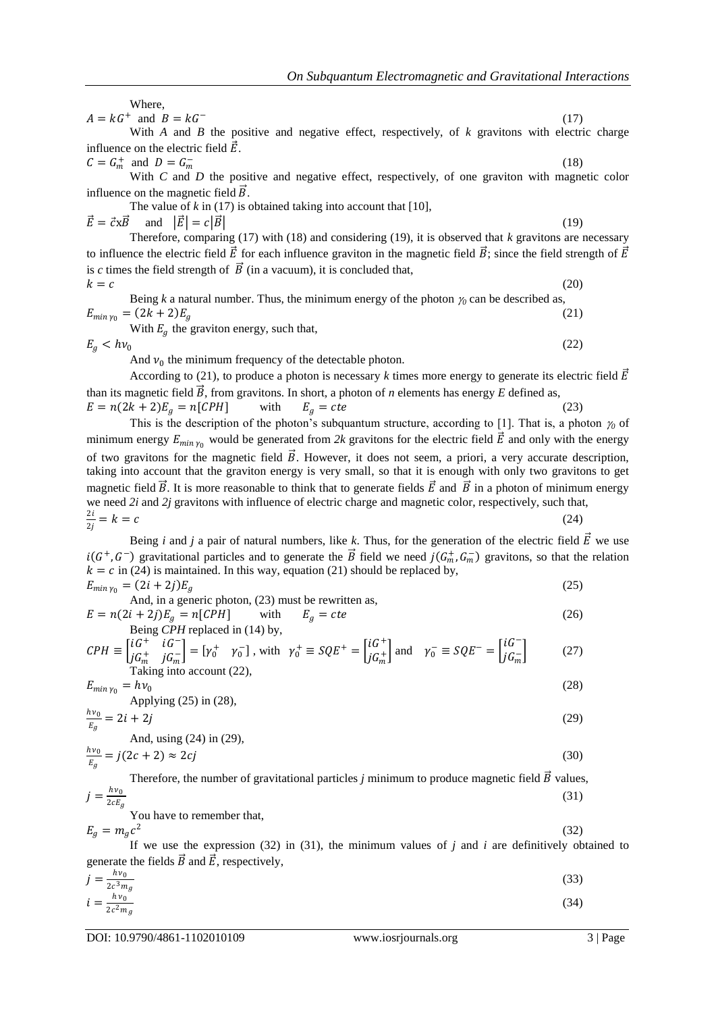Where, <sup>−</sup> (17)

 $A = kG^+$  and  $B = kG$ 

With *A* and *B* the positive and negative effect, respectively, of *k* gravitons with electric charge influence on the electric field  $\vec{E}$ .

 $C = G_m^+$  and  $D = G_m^ -\frac{1}{m}$  (18) With *C* and *D* the positive and negative effect, respectively, of one graviton with magnetic color influence on the magnetic field  $\vec{B}$ .

The value of  $k$  in (17) is obtained taking into account that [10],

 $\vec{E} = \vec{c} \times \vec{B}$  and  $|\vec{E}| = c|\vec{B}|$  (19)

Therefore, comparing (17) with (18) and considering (19), it is observed that *k* gravitons are necessary to influence the electric field  $\vec{E}$  for each influence graviton in the magnetic field  $\vec{B}$ ; since the field strength of  $\vec{E}$ is *c* times the field strength of  $\vec{B}$  (in a vacuum), it is concluded that,  $k = c$  (20)

Being *k* a natural number. Thus, the minimum energy of the photon  $\gamma_0$  can be described as,  $E_{\min \gamma_0} = (2k + 2)E_g$  (21)

With  $E_a$  the graviton energy, such that,

 $E_a < h v_0$ 

And  $v_0$  the minimum frequency of the detectable photon.

According to (21), to produce a photon is necessary *k* times more energy to generate its electric field  $\vec{E}$ than its magnetic field  $\vec{B}$ , from gravitons. In short, a photon of *n* elements has energy *E* defined as,  $E = n(2k + 2)E_g = n[CPH]$  with  $E_g = cte$  (23)

This is the description of the photon's subquantum structure, according to [1]. That is, a photon  $\gamma_0$  of minimum energy  $E_{min\gamma_0}$  would be generated from 2k gravitons for the electric field  $\vec{E}$  and only with the energy of two gravitons for the magnetic field  $\vec{B}$ . However, it does not seem, a priori, a very accurate description, taking into account that the graviton energy is very small, so that it is enough with only two gravitons to get magnetic field  $\vec{B}$ . It is more reasonable to think that to generate fields  $\vec{E}$  and  $\vec{B}$  in a photon of minimum energy we need *2i* and *2j* gravitons with influence of electric charge and magnetic color, respectively, such that,

$$
\frac{2i}{2j} = k = c \tag{24}
$$

Being *i* and *j* a pair of natural numbers, like *k*. Thus, for the generation of the electric field  $\vec{E}$  we use  $i(G^+, G^-)$  gravitational particles and to generate the  $\vec{B}$  field we need  $j(G_m^+, G_m^-)$  gravitons, so that the relation  $k = c$  in (24) is maintained. In this way, equation (21) should be replaced by,

 $E_{\min \gamma_0} = (2i + 2j)E_g$  (25) And, in a generic photon, (23) must be rewritten as,  $E = n(2i + 2j)E_g = n[CPH]$  with  $E_g = cte$  (26) Being *CPH* replaced in (14) by,

$$
CPH \equiv \begin{bmatrix} iG^+ & iG^- \\ jG_m^+ & jG_m^- \end{bmatrix} = \begin{bmatrix} \gamma_0^+ & \gamma_0^- \end{bmatrix}, \text{ with } \gamma_0^+ \equiv SQE^+ = \begin{bmatrix} iG^+ \\ jG_m^+ \end{bmatrix} \text{ and } \gamma_0^- \equiv SQE^- = \begin{bmatrix} iG^- \\ jG_m^- \end{bmatrix}
$$
 (27)  
Taking into account (22),

$$
E_{\min \gamma_0} = h\nu_0
$$
\n
$$
Applying (25) in (28),
$$
\n
$$
\frac{h\nu_0}{\gamma_0} = 2i + 2i
$$
\n(28)

$$
\frac{nv_0}{E_g} = 2i + 2j
$$
\nAnd, using (24) in (29),

$$
\frac{hv_0}{E_g} = j(2c+2) \approx 2cj \tag{30}
$$

Therefore, the number of gravitational particles *j* minimum to produce magnetic field  $\vec{B}$  values,  $j =$  $h\nu_0$  $2 c E_g$ (31)

You have to remember that,  $E_g = m_g c^2$ 

If we use the expression  $(32)$  in  $(31)$ , the minimum values of *j* and *i* are definitively obtained to generate the fields  $\vec{B}$  and  $\vec{E}$ , respectively,

$$
j = \frac{hv_0}{2c^2 m_g}
$$
  
(33)  

$$
i = \frac{hv_0}{2c^2 m_g}
$$

DOI: 10.9790/4861-1102010109 www.iosrjournals.org 3 | Page

(32)

(22)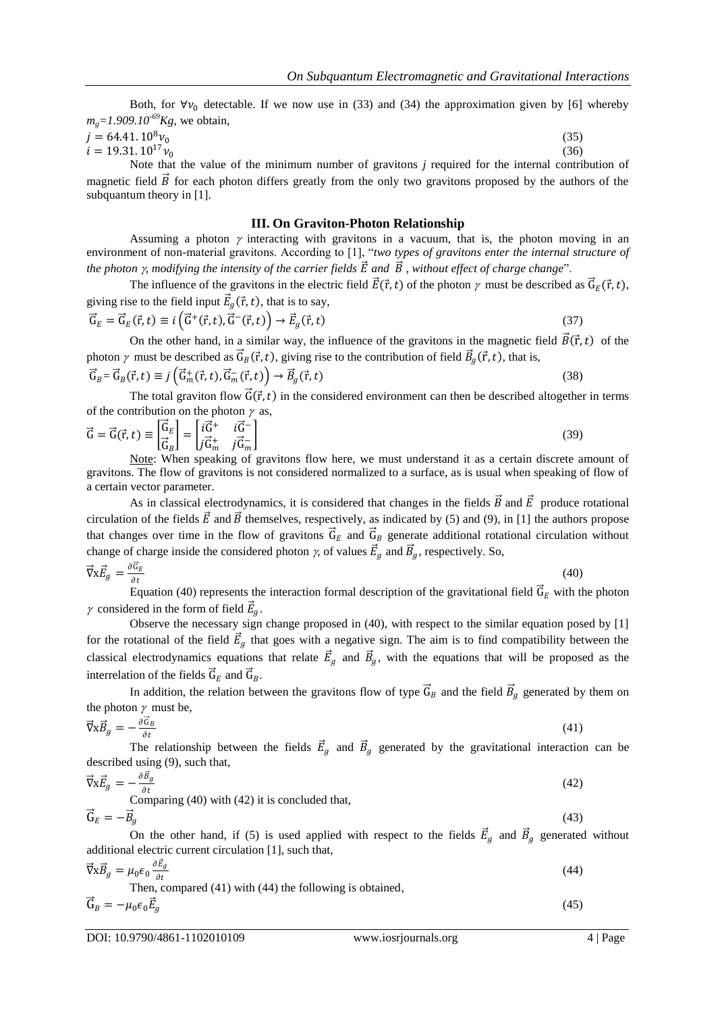Both, for  $\forall v_0$  detectable. If we now use in (33) and (34) the approximation given by [6] whereby  $m<sub>g</sub>=1.909.10<sup>-69</sup>Kg$ , we obtain,

 $j = 64.41. 10^8 v_0$ (35)  $i = 19.31. 10^{17} v_0$ (36)

Note that the value of the minimum number of gravitons *j* required for the internal contribution of magnetic field  $\vec{B}$  for each photon differs greatly from the only two gravitons proposed by the authors of the subquantum theory in [1].

#### **III. On Graviton-Photon Relationship**

Assuming a photon  $\gamma$  interacting with gravitons in a vacuum, that is, the photon moving in an environment of non-material gravitons. According to [1], "*two types of gravitons enter the internal structure of the photon*  $\gamma$ *, modifying the intensity of the carrier fields*  $\vec{E}$  *and*  $\vec{B}$ *, without effect of charge change*".

The influence of the gravitons in the electric field  $\vec{E}(\vec{r},t)$  of the photon  $\gamma$  must be described as  $\vec{G}_E(\vec{r},t)$ , giving rise to the field input  $\vec{E}_g(\vec{r}, t)$ , that is to say,

$$
\vec{G}_E = \vec{G}_E(\vec{r}, t) \equiv i \left( \vec{G}^+(\vec{r}, t), \vec{G}^-(\vec{r}, t) \right) \rightarrow \vec{E}_g(\vec{r}, t)
$$
\n(37)

On the other hand, in a similar way, the influence of the gravitons in the magnetic field  $\vec{B}(\vec{r},t)$  of the photon  $\gamma$  must be described as  $\vec{G}_B(\vec{r}, t)$ , giving rise to the contribution of field  $\vec{B}_g(\vec{r}, t)$ , that is,

$$
\vec{G}_B = \vec{G}_B(\vec{r}, t) \equiv j\left(\vec{G}_m^+(\vec{r}, t), \vec{G}_m^-(\vec{r}, t)\right) \rightarrow \vec{B}_g(\vec{r}, t)
$$
\n(38)

The total graviton flow  $\vec{G}(\vec{r}, t)$  in the considered environment can then be described altogether in terms of the contribution on the photon  $\gamma$  as,

$$
\vec{G} = \vec{G}(\vec{r}, t) \equiv \begin{bmatrix} \vec{G}_E \\ \vec{G}_B \end{bmatrix} = \begin{bmatrix} i\vec{G}^+ & i\vec{G}^- \\ j\vec{G}_m^+ & j\vec{G}_m^- \end{bmatrix}
$$
(39)  
\nNote: When speaking of gravitons flow here, we must understand it as a certain discrete amount of

gravitons. The flow of gravitons is not considered normalized to a surface, as is usual when speaking of flow of a certain vector parameter.

As in classical electrodynamics, it is considered that changes in the fields  $\vec{B}$  and  $\vec{E}$  produce rotational circulation of the fields  $\vec{E}$  and  $\vec{B}$  themselves, respectively, as indicated by (5) and (9), in [1] the authors propose that changes over time in the flow of gravitons  $\vec{G}_E$  and  $\vec{G}_B$  generate additional rotational circulation without change of charge inside the considered photon  $\gamma$ , of values  $\vec{E}_g$  and  $\vec{B}_g$ , respectively. So,

$$
\vec{\nabla}\mathbf{x}\vec{E}_g = \frac{\partial \vec{\mathbf{G}}_E}{\partial t}
$$
(40)

Equation (40) represents the interaction formal description of the gravitational field  $\vec{G}_E$  with the photon  $\gamma$  considered in the form of field  $\vec{E}_g$ .

Observe the necessary sign change proposed in (40), with respect to the similar equation posed by [1] for the rotational of the field  $\vec{E}_g$  that goes with a negative sign. The aim is to find compatibility between the classical electrodynamics equations that relate  $\vec{E}_g$  and  $\vec{B}_g$ , with the equations that will be proposed as the interrelation of the fields  $\vec{G}_E$  and  $\vec{G}_B$ .

In addition, the relation between the gravitons flow of type  $\vec{G}_B$  and the field  $\vec{B}_g$  generated by them on the photon  $\gamma$  must be,

$$
\vec{\nabla} \mathbf{x} \vec{B}_g = -\frac{\partial \vec{\mathbf{G}}_B}{\partial t} \tag{41}
$$

The relationship between the fields  $\vec{E}_g$  and  $\vec{B}_g$  generated by the gravitational interaction can be described using (9), such that,

$$
\vec{\nabla} \times \vec{E}_g = -\frac{\partial \vec{E}_g}{\partial t}
$$
  
Comparing (40) with (42) it is concluded that,  

$$
\vec{G}_E = -\vec{B}_g
$$
 (43)

On the other hand, if (5) is used applied with respect to the fields  $\vec{E}_g$  and  $\vec{B}_g$  generated without additional electric current circulation [1], such that,

$$
\vec{\nabla} \times \vec{B}_g = \mu_0 \epsilon_0 \frac{\partial \vec{E}_g}{\partial t}
$$
\nThen, compared (41) with (44) the following is obtained,

\n(44)

$$
\vec{G}_B = -\mu_0 \epsilon_0 \vec{E}_g \tag{45}
$$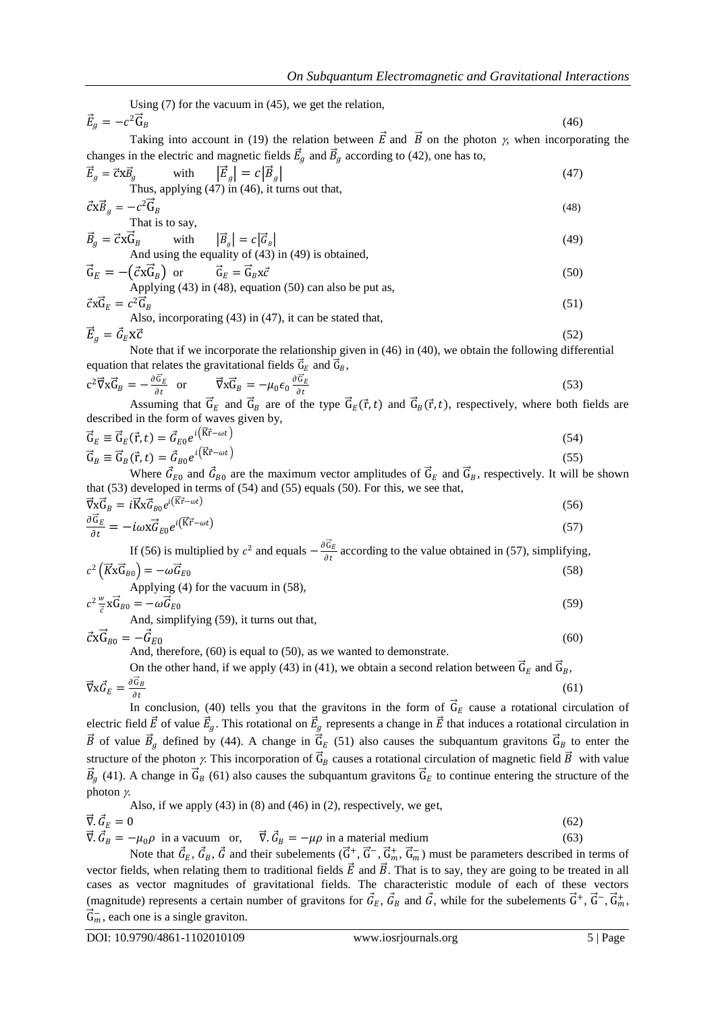Using (7) for the vacuum in (45), we get the relation,  $\vec{E}_g = -c^2\vec{G}$  $B$  (46)

Taking into account in (19) the relation between  $\vec{E}$  and  $\vec{B}$  on the photon  $\gamma$ , when incorporating the changes in the electric and magnetic fields  $\vec{E}_g$  and  $\vec{B}_g$  according to (42), one has to,

$$
\vec{E}_g = \vec{c} \times \vec{B}_g \quad \text{with} \quad |\vec{E}_g| = c |\vec{B}_g| \tag{47}
$$
\nThus, applying (47) in (46), it turns out that,

$$
\vec{c} \times \vec{B}_g = -c^2 \vec{G}_B
$$
\nThat is to say,

\n
$$
(48)
$$

$$
\vec{B}_g = \vec{c} \times \vec{G}_B \qquad \text{with} \qquad |\vec{B}_g| = c |\vec{G}_B| \tag{49}
$$

And using the equality of (43) in (49) is obtained,  
\n
$$
\vec{G}_E = -(\vec{c} \times \vec{G}_B) \text{ or } \vec{G}_E = \vec{G}_B \times \vec{c}
$$
\nApplying (43) in (48), equation (50) can also be put as, (50)

Applying (43) in (48), equation (50) can also be put as,  
\n
$$
\vec{c} \times \vec{G}_E = c^2 \vec{G}_B
$$
\n(51)

Also, incorporating (43) in (47), it can be stated that,  

$$
\vec{E}_g = \vec{G}_E \mathbf{X} \vec{C}
$$
(52)

Note that if we incorporate the relationship given in (46) in (40), we obtain the following differential equation that relates the gravitational fields  $\vec{G}_E$  and  $\vec{G}_B$ ,

$$
c^2 \vec{\nabla} x \vec{G}_B = -\frac{\partial \vec{G}_E}{\partial t} \quad \text{or} \quad \vec{\nabla} x \vec{G}_B = -\mu_0 \epsilon_0 \frac{\partial \vec{G}_E}{\partial t}
$$
(53)

Assuming that  $\vec{G}_E$  and  $\vec{G}_B$  are of the type  $\vec{G}_E(\vec{r}, t)$  and  $\vec{G}_B(\vec{r}, t)$ , respectively, where both fields are described in the form of waves given by,

$$
\vec{G}_E \equiv \vec{G}_E(\vec{r}, t) = \vec{G}_{E0} e^{i(\vec{K}\vec{r} - \omega t)} \n\vec{G}_B \equiv \vec{G}_B(\vec{r}, t) = \vec{G}_{B0} e^{i(\vec{K}\vec{r} - \omega t)}
$$
\n(54)

Where  $\vec{G}_{E0}$  and  $\vec{G}_{B0}$  are the maximum vector amplitudes of  $\vec{G}_E$  and  $\vec{G}_B$ , respectively. It will be shown that (53) developed in terms of (54) and (55) equals (50). For this, we see that,  $(56)$ 

$$
\begin{aligned}\n\vec{\nabla}\vec{\mathbf{x}}\vec{\mathbf{G}}_B &= i\vec{\mathbf{K}}\vec{\mathbf{x}}\vec{\mathbf{G}}_{B0}e^{i(\vec{\mathbf{K}}\vec{\mathbf{r}}-\omega t)}\\
\frac{\partial\vec{\mathbf{G}}_E}{\partial t} &= -i\omega\vec{\mathbf{x}}\vec{\mathbf{G}}_{E0}e^{i(\vec{\mathbf{K}}\vec{\mathbf{r}}-\omega t)}\n\end{aligned} \tag{56}
$$

If (56) is multiplied by  $c^2$  and equals  $-\frac{\partial \vec{G}_E}{\partial t}$  $\frac{\partial E}{\partial t}$  according to the value obtained in (57), simplifying,

$$
c^{2} \left( \overrightarrow{K} \overrightarrow{K}_{B0} \right) = -\omega \overrightarrow{G}_{E0}
$$
  
Applying (4) for the vacuum in (58),  

$$
c^{2} \frac{w}{\overrightarrow{c}} \overrightarrow{K}_{B0} = -\omega \overrightarrow{G}_{E0}
$$
 (59)

And, simplifying (59), it turns out that,

 $\vec{c} \times \vec{G}_{B0} = -\vec{G}_{E0}$ 

And, therefore, (60) is equal to (50), as we wanted to demonstrate.

On the other hand, if we apply (43) in (41), we obtain a second relation between 
$$
\vec{G}_E
$$
 and  $\vec{G}_B$ ,  

$$
\vec{\nabla} \times \vec{G}_E = \frac{\partial \vec{G}_B}{\partial t}
$$
(61)

 $\partial t$ <br>In conclusion, (40) tells you that the gravitons in the form of  $\vec{G}_E$  cause a rotational circulation of electric field  $\vec{E}$  of value  $\vec{E}_g$ . This rotational on  $\vec{E}_g$  represents a change in  $\vec{E}$  that induces a rotational circulation in  $\vec{B}$  of value  $\vec{B}_g$  defined by (44). A change in  $\vec{G}_E$  (51) also causes the subquantum gravitons  $\vec{G}_B$  to enter the structure of the photon  $\gamma$ . This incorporation of  $\vec{G}_B$  causes a rotational circulation of magnetic field  $\vec{B}$  with value  $\vec{B}_g$  (41). A change in  $\vec{G}_B$  (61) also causes the subquantum gravitons  $\vec{G}_E$  to continue entering the structure of the photon  $\gamma$ .

Also, if we apply (43) in (8) and (46) in (2), respectively, we get,

$$
\vec{\nabla}.\vec{G}_E=0
$$

$$
\nabla \cdot \vec{G}_E = 0
$$
\n
$$
\vec{\nabla} \cdot \vec{G}_B = -\mu_0 \rho \text{ in a vacuum or, } \vec{\nabla} \cdot \vec{G}_B = -\mu \rho \text{ in a material medium}
$$
\n(62)

Note that  $\vec{G}_E$ ,  $\vec{G}_B$ ,  $\vec{G}$  and their subelements  $(\vec{G}^+, \vec{G}^-, \vec{G}^+_m, \vec{G}^-_m)$  must be parameters described in terms of vector fields, when relating them to traditional fields  $\vec{E}$  and  $\vec{B}$ . That is to say, they are going to be treated in all cases as vector magnitudes of gravitational fields. The characteristic module of each of these vectors (magnitude) represents a certain number of gravitons for  $\vec{G}_E$ ,  $\vec{G}_B$  and  $\vec{G}$ , while for the subelements  $\vec{G}^+$ ,  $\vec{G}^-$ ,  $\vec{G}_m^+$ ,  $\vec{G}_m^-$ , each one is a single graviton.

(60)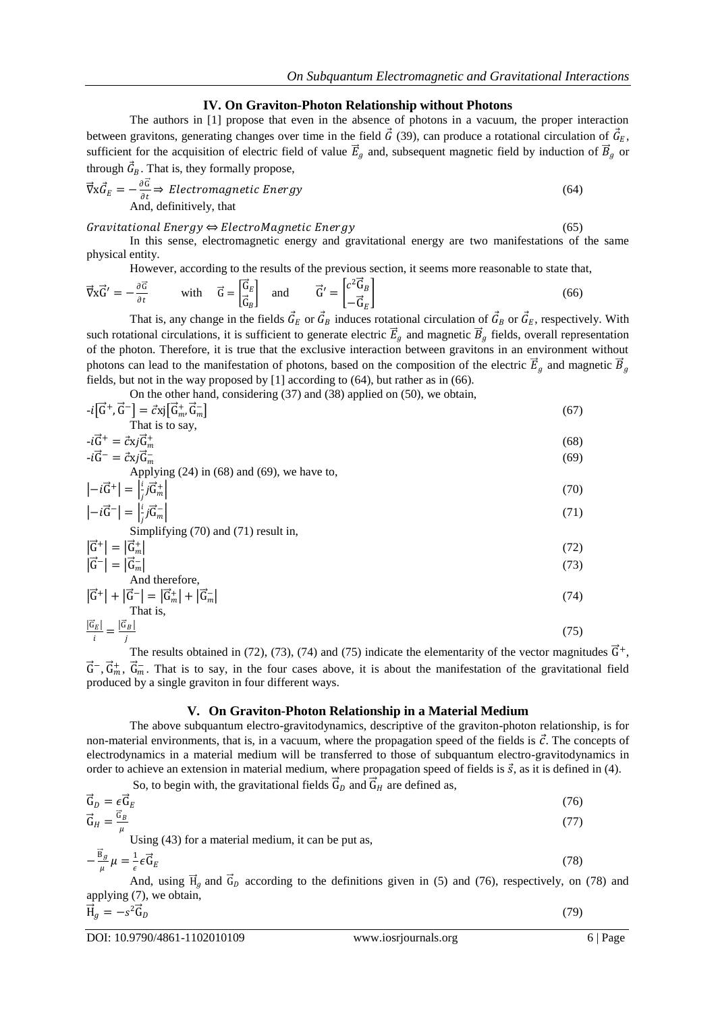#### **IV. On Graviton-Photon Relationship without Photons**

The authors in [1] propose that even in the absence of photons in a vacuum, the proper interaction between gravitons, generating changes over time in the field  $\vec{G}$  (39), can produce a rotational circulation of  $\vec{G}_E$ , sufficient for the acquisition of electric field of value  $\vec{E}_g$  and, subsequent magnetic field by induction of  $\vec{B}_g$  or through  $\vec{G}_B$ . That is, they formally propose,

$$
\vec{\nabla} \times \vec{G}_E = -\frac{\partial \vec{G}}{\partial t} \Rightarrow Electromagnetic Energy
$$
\nAnd, definitively, that

#### Gravitational Energy  $\Leftrightarrow$  ElectroMagnetic Energy  $(65)$

In this sense, electromagnetic energy and gravitational energy are two manifestations of the same physical entity.

However, according to the results of the previous section, it seems more reasonable to state that,

$$
\vec{\nabla} \times \vec{G}' = -\frac{\partial \vec{G}}{\partial t} \qquad \text{with} \qquad \vec{G} = \begin{bmatrix} \vec{G}_E \\ \vec{G}_B \end{bmatrix} \quad \text{and} \qquad \vec{G}' = \begin{bmatrix} c^2 \vec{G}_B \\ -\vec{G}_E \end{bmatrix} \tag{66}
$$

That is, any change in the fields  $\vec{G}_E$  or  $\vec{G}_B$  induces rotational circulation of  $\vec{G}_B$  or  $\vec{G}_E$ , respectively. With such rotational circulations, it is sufficient to generate electric  $\vec{E}_g$  and magnetic  $\vec{B}_g$  fields, overall representation of the photon. Therefore, it is true that the exclusive interaction between gravitons in an environment without photons can lead to the manifestation of photons, based on the composition of the electric  $\vec{E}_g$  and magnetic  $\vec{B}_g$ fields, but not in the way proposed by [1] according to (64), but rather as in (66).

On the other hand, considering  $(37)$  and  $(38)$  applied on  $(50)$ , we obtain

$$
-i\left[\vec{G}^{+}, \vec{G}^{-}\right] = \vec{c}xj\left[\vec{G}_{m}^{+}, \vec{G}_{m}^{-}\right]
$$
\nThat is to say,  
\n
$$
-i\vec{G}^{+} = \vec{c}xj\vec{G}_{m}^{+}
$$
\n
$$
-i\vec{G}^{-} = \vec{c}xj\vec{G}_{m}^{-}
$$
\n(68)  
\nApplying (24) in (68) and (69), we have to,  
\n
$$
\begin{vmatrix} -i\vec{G}^{+} \end{vmatrix} = \begin{vmatrix} i & j\vec{G}_{m}^{-} \\ j & j\vec{G}_{m}^{-} \end{vmatrix}
$$
\n(70)  
\n
$$
\begin{vmatrix} -i\vec{G}^{-} \end{vmatrix} = \begin{vmatrix} i & j\vec{G}_{m}^{-} \\ j & j\vec{G}_{m}^{-} \end{vmatrix}
$$
\n(71)  
\nSimplifying (70) and (71) result in,  
\n
$$
\begin{vmatrix} \vec{G}^{+} \end{vmatrix} = \begin{vmatrix} \vec{G}_{m}^{+} \end{vmatrix}
$$
\n(72)  
\nAnd therefore,  
\n
$$
\begin{vmatrix} \vec{G}^{+} \end{vmatrix} + \begin{vmatrix} \vec{G}^{-} \end{vmatrix} = \begin{vmatrix} \vec{G}_{m}^{+} \end{vmatrix} + \begin{vmatrix} \vec{G}_{m}^{-} \end{vmatrix}
$$
\n(74)  
\nThat is,

$$
\frac{|\vec{G}_E|}{i} = \frac{|\vec{G}_B|}{j} \tag{75}
$$

The results obtained in (72), (73), (74) and (75) indicate the elementarity of the vector magnitudes  $\vec{G}^+$ ,  $\vec{G}$ ,  $\vec{G}_m^+$ ,  $\vec{G}_m^-$ . That is to say, in the four cases above, it is about the manifestation of the gravitational field produced by a single graviton in four different ways.

### **V. On Graviton-Photon Relationship in a Material Medium**

The above subquantum electro-gravitodynamics, descriptive of the graviton-photon relationship, is for non-material environments, that is, in a vacuum, where the propagation speed of the fields is  $\vec{c}$ . The concepts of electrodynamics in a material medium will be transferred to those of subquantum electro-gravitodynamics in order to achieve an extension in material medium, where propagation speed of fields is  $\vec{s}$ , as it is defined in (4).

So, to begin with, the gravitational fields  $\vec{G}_D$  and  $\vec{G}_H$  are defined as,  $\vec{\mathsf{G}}_D = \epsilon \vec{\mathsf{G}}$  $E$  (76)  $\vec{G}_H = \frac{\vec{G}_B}{\mu}$  $\mu$  Using (43) for a material medium, it can be put as, (77)  $-\frac{\vec{B}_g}{\mu}\mu = \frac{1}{\epsilon}\epsilon \vec{G}_E$  (78)  $\mu$   $\mu$   $\epsilon$ And, using  $\vec{H}_g$  and  $\vec{G}_D$  according to the definitions given in (5) and (76), respectively, on (78) and

applying (7), we obtain,

$$
\vec{H}_g = -s^2 \vec{G}_D \tag{79}
$$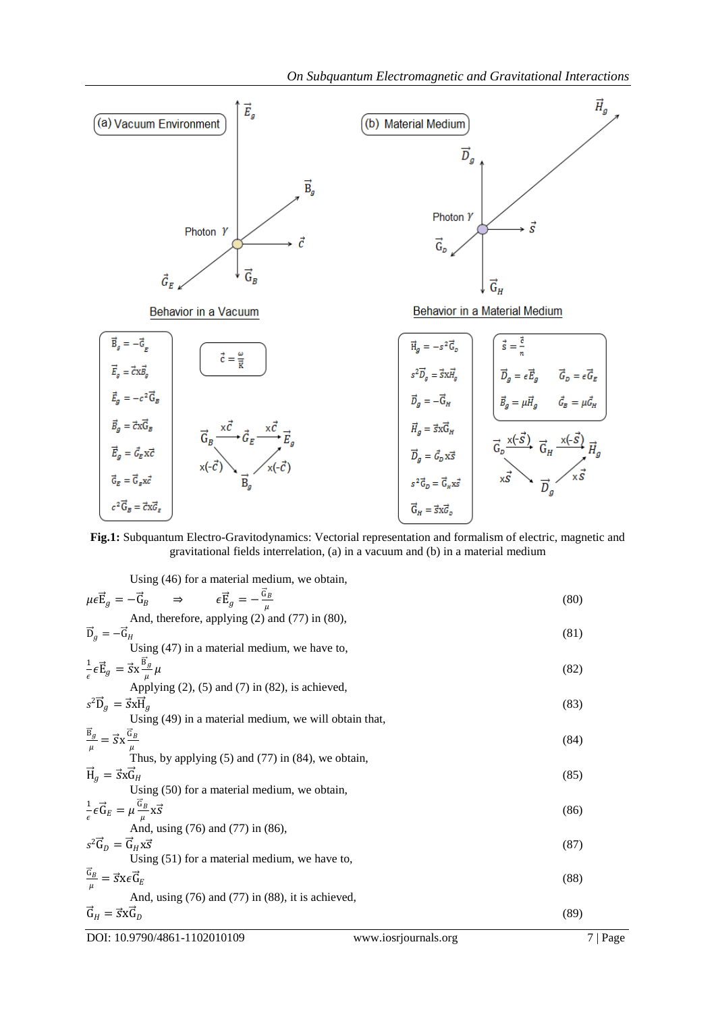

**Fig.1:** Subquantum Electro-Gravitodynamics: Vectorial representation and formalism of electric, magnetic and gravitational fields interrelation, (a) in a vacuum and (b) in a material medium

Using (46) for a material medium, we obtain,

| $\mu \epsilon \vec{E}_g = -\vec{G}_B$ $\Rightarrow$ $\epsilon \vec{E}_g = -\frac{\vec{G}_B}{\mu}$ | (80) |
|---------------------------------------------------------------------------------------------------|------|
| And, therefore, applying (2) and (77) in (80),                                                    |      |
| $\vec{D}_a = -\vec{G}_H$                                                                          | (81) |
| Using $(47)$ in a material medium, we have to,                                                    |      |
| $\frac{1}{\epsilon} \epsilon \vec{E}_g = \vec{S} x \frac{B_g}{\mu} \mu$                           | (82) |
| Applying $(2)$ , $(5)$ and $(7)$ in $(82)$ , is achieved,                                         |      |
| $s^2\overrightarrow{D}_a = \overrightarrow{s}x\overrightarrow{H}_a$                               | (83) |
| Using (49) in a material medium, we will obtain that,                                             |      |
| $\frac{\vec{B}_g}{\mu} = \vec{S}X \frac{\vec{G}_B}{\mu}$                                          | (84) |
|                                                                                                   |      |
| Thus, by applying $(5)$ and $(77)$ in $(84)$ , we obtain,                                         |      |
| $\vec{H}_a = \vec{S} \times \vec{G}_H$                                                            | (85) |
| Using (50) for a material medium, we obtain,                                                      |      |
| $\frac{1}{\epsilon} \epsilon \vec{G}_E = \mu \frac{\vec{G}_B}{\mu} x \vec{S}$                     | (86) |
| And, using (76) and (77) in (86),                                                                 |      |
| $s^2 \vec{G}_D = \vec{G}_H x \vec{S}$                                                             | (87) |
| Using $(51)$ for a material medium, we have to,                                                   |      |
| $\frac{\vec{G}_B}{\mu} = \vec{S} X \epsilon \vec{G}_E$                                            | (88) |
| And, using $(76)$ and $(77)$ in $(88)$ , it is achieved,                                          |      |
| $\vec{G}_H = \vec{S} \times \vec{G}_D$                                                            | (89) |

DOI: 10.9790/4861-1102010109 www.iosrjournals.org 7 | Page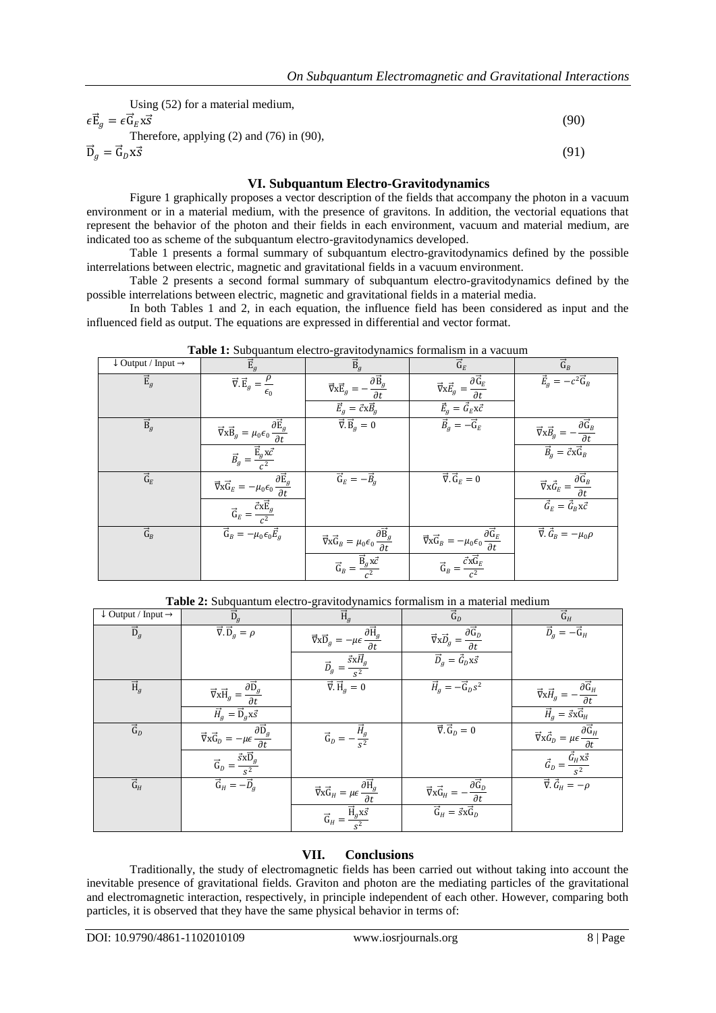| Using $(52)$ for a material medium,                                                 |     |
|-------------------------------------------------------------------------------------|-----|
| $\epsilon \vec{\mathrm{E}}_a = \epsilon \vec{\mathrm{G}}_E \times \vec{\mathrm{S}}$ | 90° |
| Therefore, applying $(2)$ and $(76)$ in $(90)$ ,                                    |     |
| $\vec{D}_a = \vec{G}_D x \vec{s}$                                                   | (91 |

## **VI. Subquantum Electro-Gravitodynamics**

Figure 1 graphically proposes a vector description of the fields that accompany the photon in a vacuum environment or in a material medium, with the presence of gravitons. In addition, the vectorial equations that represent the behavior of the photon and their fields in each environment, vacuum and material medium, are indicated too as scheme of the subquantum electro-gravitodynamics developed.

Table 1 presents a formal summary of subquantum electro-gravitodynamics defined by the possible interrelations between electric, magnetic and gravitational fields in a vacuum environment.

Table 2 presents a second formal summary of subquantum electro-gravitodynamics defined by the possible interrelations between electric, magnetic and gravitational fields in a material media.

In both Tables 1 and 2, in each equation, the influence field has been considered as input and the influenced field as output. The equations are expressed in differential and vector format.

| <b>rapic 1.</b> Dubquantum cicetro gravitou filam<br>m a vacuum |                                                                                                                                                                                                                                                                                                                                                                                                                                                       |                                                                                                           |                                                                                                                       |                                                                                                                                                                                                                                                                                                                                                                                                             |
|-----------------------------------------------------------------|-------------------------------------------------------------------------------------------------------------------------------------------------------------------------------------------------------------------------------------------------------------------------------------------------------------------------------------------------------------------------------------------------------------------------------------------------------|-----------------------------------------------------------------------------------------------------------|-----------------------------------------------------------------------------------------------------------------------|-------------------------------------------------------------------------------------------------------------------------------------------------------------------------------------------------------------------------------------------------------------------------------------------------------------------------------------------------------------------------------------------------------------|
| $\downarrow$ Output / Input $\rightarrow$                       | $\vec{E}_g$                                                                                                                                                                                                                                                                                                                                                                                                                                           | $\vec{B}_q$                                                                                               | $\vec{G}_E$                                                                                                           | $\overrightarrow{G}_B$                                                                                                                                                                                                                                                                                                                                                                                      |
| $\vec{E}_g$                                                     | $\vec{\nabla} \cdot \vec{E}_g = \frac{\rho}{\epsilon_0}$                                                                                                                                                                                                                                                                                                                                                                                              | $-\frac{\partial \vec{\mathbf{B}}_g}{\partial t}$<br>$\vec{\nabla} \times \vec{E}_g = -$                  | $\vec{\nabla} \times \vec{E}_g = \frac{\partial \vec{G}_E}{\partial t}$                                               | $\vec{E}_g = -c^2 \vec{G}_B$                                                                                                                                                                                                                                                                                                                                                                                |
|                                                                 |                                                                                                                                                                                                                                                                                                                                                                                                                                                       | $\vec{E}_g = \vec{c} \times \vec{B}_g$                                                                    | $\vec{E}_g = \vec{G}_E \textbf{x} \vec{c}$                                                                            |                                                                                                                                                                                                                                                                                                                                                                                                             |
| $\vec{B}_g$                                                     | $\vec{\nabla}\mathbf{x}\vec{\mathbf{B}}_g = \mu_0\epsilon_0\frac{\partial\vec{\mathbf{E}}_g}{\partial t}$                                                                                                                                                                                                                                                                                                                                             | $\vec{\nabla} \cdot \vec{B}_q = 0$                                                                        | $\vec{B}_q = -\vec{G}_E$                                                                                              | $\label{eq:11} \vec{\nabla}{\bf x}\vec{B}_g \, = - \frac{\partial \vec{\bf G}_B}{\partial t}$                                                                                                                                                                                                                                                                                                               |
|                                                                 | $\vec{B}_g = \frac{\vec{E}_g x \vec{c}}{c^2}$                                                                                                                                                                                                                                                                                                                                                                                                         |                                                                                                           |                                                                                                                       | $\vec{B}_g = \vec{c} \times \vec{G}_B$                                                                                                                                                                                                                                                                                                                                                                      |
| $\overrightarrow{\mathsf{G}}_{E}$                               | $\label{eq:grad} \vec{\nabla}\vec{\mathbf{x}}\vec{\mathbf{G}}_E = -\mu_0\epsilon_0\frac{\partial\vec{\mathbf{E}}_g}{\partial t}$                                                                                                                                                                                                                                                                                                                      | $\vec{G}_E = -\vec{B}_q$                                                                                  | $\vec{\nabla} \cdot \vec{G}_E = 0$                                                                                    | $\vec{\nabla}_{X}\vec{G}_{E}=\frac{\partial\vec{G}_{B}}{\partial t}% {\nabla }_{X}+\vec{G}_{E}+\vec{G}_{E}+\vec{G}_{E}+\vec{G}_{E}+\vec{G}_{E}+\vec{G}_{E}+\vec{G}_{E}+\vec{G}_{E}+\vec{G}_{E}+\vec{G}_{E}+\vec{G}_{E}+\vec{G}_{E}+\vec{G}_{E}+\vec{G}_{E}+\vec{G}_{E}+\vec{G}_{E}+\vec{G}_{E}+\vec{G}_{E}+\vec{G}_{E}+\vec{G}_{E}+\vec{G}_{E}+\vec{G}_{E}+\vec{G}_{E}+\vec{G}_{E}+\vec{G}_{E}+\vec{G}_{E}$ |
|                                                                 | $\vec{\mathrm{G}}_{E}=\frac{\vec{c}\mathrm{x}\vec{\mathrm{E}}_{g}}{c^{2}}% \sum_{i=1}^{N}\vec{\mathrm{G}}_{i}\cdot\vec{\mathrm{G}}_{i}^{i}+\vec{\mathrm{G}}_{i}\cdot\vec{\mathrm{G}}_{i}^{i}+\vec{\mathrm{G}}_{i}^{i}+\vec{\mathrm{G}}_{i}^{i}+\vec{\mathrm{G}}_{i}^{i}+\vec{\mathrm{G}}_{i}^{i}+\vec{\mathrm{G}}_{i}^{i}+\vec{\mathrm{G}}_{i}^{i}+\vec{\mathrm{G}}_{i}^{i}+\vec{\mathrm{G}}_{i}^{i}+\vec{\mathrm{G}}_{i}^{i}+\vec{\mathrm{G}}_{i}^{$ |                                                                                                           |                                                                                                                       | $\vec{G}_E = \vec{G}_B x \vec{c}$                                                                                                                                                                                                                                                                                                                                                                           |
| $\overrightarrow{G}_B$                                          | $\vec{G}_B = -\mu_0 \epsilon_0 \vec{E}_g$                                                                                                                                                                                                                                                                                                                                                                                                             | $\vec{\nabla}\mathbf{x}\vec{\mathbf{G}}_B = \mu_0\epsilon_0\frac{\partial\vec{\mathbf{B}}_g}{\partial t}$ | $\vec{\nabla} \vec{\mathbf{x}} \vec{\mathbf{G}}_B = -\mu_0 \epsilon_0 \frac{\partial \vec{\mathbf{G}}_E}{\partial t}$ | $\vec{\nabla} \cdot \vec{G}_B = -\mu_0 \rho$                                                                                                                                                                                                                                                                                                                                                                |
|                                                                 |                                                                                                                                                                                                                                                                                                                                                                                                                                                       | $\vec{G}_B = \frac{\vec{B}_g x \vec{c}}{c^2}$                                                             | $\vec{G}_B = \frac{\vec{c} \times \vec{G}_E}{c^2}$                                                                    |                                                                                                                                                                                                                                                                                                                                                                                                             |

**Table 1:** Subquantum electro-gravitodynamics formalism in a vacuum

**Table 2:** Subquantum electro-gravitodynamics formalism in a material medium

| $\downarrow$ Output / Input $\rightarrow$ | $\overline{\overrightarrow{D}}_g$                                                                           | $\overrightarrow{H}_g$                                                                                                                                                                                                                                                                                                                                                                                                           | $\overrightarrow{G}_D$                                                                                                                                                                                                                                                                                                                                | $\overrightarrow{\mathsf{G}}_{H}$                                                        |
|-------------------------------------------|-------------------------------------------------------------------------------------------------------------|----------------------------------------------------------------------------------------------------------------------------------------------------------------------------------------------------------------------------------------------------------------------------------------------------------------------------------------------------------------------------------------------------------------------------------|-------------------------------------------------------------------------------------------------------------------------------------------------------------------------------------------------------------------------------------------------------------------------------------------------------------------------------------------------------|------------------------------------------------------------------------------------------|
| $\overrightarrow{D}_g$                    | $\vec{\nabla} \cdot \vec{D}_g = \rho$                                                                       | $\vec{\nabla}\mathbf{x}\overrightarrow{\mathbf{D}}_g = -\mu\epsilon\frac{\partial\overrightarrow{\mathbf{H}}_g}{\partial t}$                                                                                                                                                                                                                                                                                                     | $\overrightarrow{\nabla}{\mathbf{x}}\overrightarrow{D}_{g}=\frac{\partial\overrightarrow{\mathbf{G}}_{D}}{\partial{t}}% \overrightarrow{D}_{g}\cdot\overrightarrow{D}_{g}=\frac{\partial\overrightarrow{\mathbf{G}}_{D}}{\partial{t}}% \overrightarrow{D}_{g}\cdot\overrightarrow{D}_{g}=\frac{\partial\overrightarrow{\mathbf{G}}_{D}}{\partial{t}}$ | $\vec{D}_g = -\vec{G}_H$                                                                 |
|                                           |                                                                                                             | $\label{eq:12} \overrightarrow{D}_{g}=\frac{\overrightarrow{s}\textbf{x}\overrightarrow{H}_{g}}{s^{2}}$                                                                                                                                                                                                                                                                                                                          | $\vec{D}_q = \vec{G}_D \times \vec{s}$                                                                                                                                                                                                                                                                                                                |                                                                                          |
| $\overrightarrow{H}_g$                    | $\label{eq:grad} \vec{\nabla}\mathbf{x}\vec{\mathbf{H}}_g = \frac{\partial \vec{\mathbf{D}}_g}{\partial t}$ | $\vec{\nabla} \cdot \vec{H}_g = 0$                                                                                                                                                                                                                                                                                                                                                                                               | $\vec{H}_g = -\vec{G}_D s^2$                                                                                                                                                                                                                                                                                                                          | $\label{eq:11} \vec{\nabla}{\bf x}\vec{H}_g = -\frac{\partial\vec{\bf G}_H}{\partial t}$ |
|                                           | $\vec{H}_q = \vec{D}_q \times \vec{s}$                                                                      |                                                                                                                                                                                                                                                                                                                                                                                                                                  |                                                                                                                                                                                                                                                                                                                                                       | $\vec{H}_g = \vec{s} \times \vec{G}_H$                                                   |
| $\overrightarrow{G}_D$                    | $\vec{\nabla}{\bf x}\vec{\rm G}_D=-\mu\epsilon\frac{\partial\vec{\rm D}_g}{\partial t}$                     | $\vec{\mathrm{G}}_{D}=-\frac{\vec{H}_{g}}{\mathrm{s}^{2}}% \vec{\mathrm{G}}_{D}+\vec{\mathrm{G}}_{D}+\vec{\mathrm{G}}_{D}+\vec{\mathrm{G}}_{D}+\vec{\mathrm{G}}_{D}+\vec{\mathrm{G}}_{D}+\vec{\mathrm{G}}_{D}+\vec{\mathrm{G}}_{D}+\vec{\mathrm{G}}_{D}+\vec{\mathrm{G}}_{D}+\vec{\mathrm{G}}_{D}+\vec{\mathrm{G}}_{D}+\vec{\mathrm{G}}_{D}+\vec{\mathrm{G}}_{D}+\vec{\mathrm{G}}_{D}+\vec{\mathrm{G}}_{D}+\vec{\mathrm{G}}_{D}$ | $\vec{\nabla} \cdot \vec{G}_D = 0$                                                                                                                                                                                                                                                                                                                    | $\vec{\nabla}{\bf x}\vec{G}_D=\mu\epsilon\frac{\partial\vec{\bf G}_H}{\partial t}$       |
|                                           | $\label{eq:G0} \vec{\mathrm{G}}_D = \frac{\vec{s}\mathrm{x}\overrightarrow{\mathrm{D}}_g}{s^2}$             |                                                                                                                                                                                                                                                                                                                                                                                                                                  |                                                                                                                                                                                                                                                                                                                                                       | $\vec{G}_D = \frac{\vec{G}_H \times \vec{s}}{s^2}$                                       |
| $\overrightarrow{\mathsf{G}}_{H}$         | $\vec{G}_H = -\vec{D}_g$                                                                                    | $\vec{\nabla} \vec{\mathbf{x}} \vec{\mathbf{G}}_H = \mu \epsilon \frac{\partial \vec{\mathbf{H}}_g}{\partial t}$                                                                                                                                                                                                                                                                                                                 | $\vec{\nabla} \vec{\mathbf{x}} \vec{\mathbf{G}}_H = -\frac{\partial \vec{\mathbf{G}}_D}{\partial t}$                                                                                                                                                                                                                                                  | $\vec{\nabla} \cdot \vec{G}_H = -\rho$                                                   |
|                                           |                                                                                                             | $\vec{G}_H = \frac{\vec{H}_g x \vec{s}}{s^2}$                                                                                                                                                                                                                                                                                                                                                                                    | $\vec{G}_H = \vec{s} \times \vec{G}_D$                                                                                                                                                                                                                                                                                                                |                                                                                          |

# **VII. Conclusions**

Traditionally, the study of electromagnetic fields has been carried out without taking into account the inevitable presence of gravitational fields. Graviton and photon are the mediating particles of the gravitational and electromagnetic interaction, respectively, in principle independent of each other. However, comparing both particles, it is observed that they have the same physical behavior in terms of: